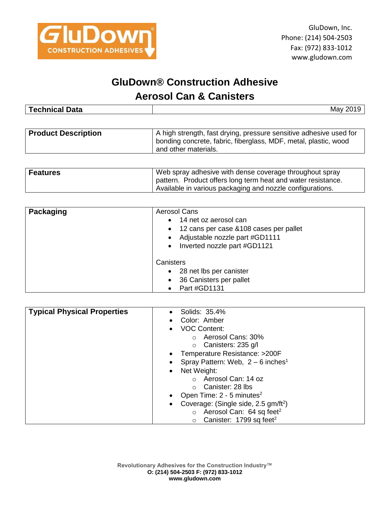

## **GluDown® Construction Adhesive**

## **Aerosol Can & Canisters**

| −<br><b>Technical</b><br>10+0<br>Dald | May |
|---------------------------------------|-----|
|                                       |     |

| <b>Product Description</b> | A high strength, fast drying, pressure sensitive adhesive used for<br>bonding concrete, fabric, fiberglass, MDF, metal, plastic, wood<br>and other materials. |
|----------------------------|---------------------------------------------------------------------------------------------------------------------------------------------------------------|
|                            |                                                                                                                                                               |

| <b>Features</b> | Web spray adhesive with dense coverage throughout spray      |
|-----------------|--------------------------------------------------------------|
|                 | pattern. Product offers long term heat and water resistance. |
|                 | Available in various packaging and nozzle configurations.    |

| Packaging | <b>Aerosol Cans</b><br>• 14 net oz aerosol can<br>• 12 cans per case & 108 cases per pallet<br>• Adjustable nozzle part #GD1111<br>• Inverted nozzle part #GD1121 |  |
|-----------|-------------------------------------------------------------------------------------------------------------------------------------------------------------------|--|
|           | Canisters<br>28 net lbs per canister<br>$\bullet$<br>36 Canisters per pallet<br>$\bullet$<br>Part #GD1131                                                         |  |

| <b>Typical Physical Properties</b> | Solids: 35.4%                                    |  |
|------------------------------------|--------------------------------------------------|--|
|                                    | Color: Amber                                     |  |
|                                    | <b>VOC Content:</b>                              |  |
|                                    | Aerosol Cans: 30%<br>$\bigcirc$                  |  |
|                                    | Canisters: 235 g/l<br>$\circ$                    |  |
|                                    | Temperature Resistance: >200F                    |  |
|                                    | Spray Pattern: Web, $2-6$ inches <sup>1</sup>    |  |
|                                    | Net Weight:<br>$\bullet$                         |  |
|                                    | Aerosol Can: 14 oz<br>$\Omega$                   |  |
|                                    | Canister: 28 lbs<br>$\bigcirc$                   |  |
|                                    | Open Time: 2 - 5 minutes <sup>2</sup>            |  |
|                                    | Coverage: (Single side, 2.5 gm/ft <sup>2</sup> ) |  |
|                                    | Aerosol Can: 64 sq feet <sup>2</sup><br>$\circ$  |  |
|                                    | Canister: 1799 sq feet <sup>2</sup>              |  |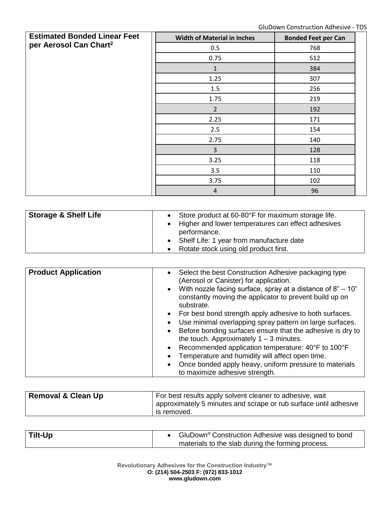| <b>Estimated Bonded Linear Feet</b><br>per Aerosol Can Chart <sup>2</sup> | <b>Width of Material in Inches</b> | <b>Bonded Feet per Can</b> |
|---------------------------------------------------------------------------|------------------------------------|----------------------------|
|                                                                           | 0.5                                | 768                        |
|                                                                           | 0.75                               | 512                        |
|                                                                           | $\mathbf{1}$                       | 384                        |
|                                                                           | 1.25                               | 307                        |
|                                                                           | 1.5                                | 256                        |
|                                                                           | 1.75                               | 219                        |
|                                                                           | $2 \overline{ }$                   | 192                        |
|                                                                           | 2.25                               | 171                        |
|                                                                           | 2.5                                | 154                        |
|                                                                           | 2.75                               | 140                        |
|                                                                           | $\overline{3}$                     | 128                        |
|                                                                           | 3.25                               | 118                        |
|                                                                           | 3.5                                | 110                        |
|                                                                           | 3.75                               | 102                        |
|                                                                           | $\overline{4}$                     | 96                         |

| <b>Storage &amp; Shelf Life</b> | • Store product at 60-80°F for maximum storage life.<br>• Higher and lower temperatures can effect adhesives<br>performance.<br>• Shelf Life: 1 year from manufacture date<br>Rotate stock using old product first. |
|---------------------------------|---------------------------------------------------------------------------------------------------------------------------------------------------------------------------------------------------------------------|
|---------------------------------|---------------------------------------------------------------------------------------------------------------------------------------------------------------------------------------------------------------------|

| <b>Product Application</b> | Select the best Construction Adhesive packaging type<br>$\bullet$<br>(Aerosol or Canister) for application.<br>With nozzle facing surface, spray at a distance of $8" - 10"$<br>$\bullet$<br>constantly moving the applicator to prevent build up on |
|----------------------------|------------------------------------------------------------------------------------------------------------------------------------------------------------------------------------------------------------------------------------------------------|
|                            | substrate.                                                                                                                                                                                                                                           |
|                            | For best bond strength apply adhesive to both surfaces.<br>$\bullet$                                                                                                                                                                                 |
|                            | Use minimal overlapping spray pattern on large surfaces.<br>$\bullet$                                                                                                                                                                                |
|                            | Before bonding surfaces ensure that the adhesive is dry to<br>$\bullet$<br>the touch. Approximately $1 - 3$ minutes.                                                                                                                                 |
|                            | Recommended application temperature: 40°F to 100°F<br>$\bullet$                                                                                                                                                                                      |
|                            | Temperature and humidity will affect open time.<br>$\bullet$                                                                                                                                                                                         |
|                            | Once bonded apply heavy, uniform pressure to materials<br>$\bullet$<br>to maximize adhesive strength.                                                                                                                                                |

| <b>Removal &amp; Clean Up</b> | For best results apply solvent cleaner to adhesive, wait<br>approximately 5 minutes and scrape or rub surface until adhesive<br>is removed. |
|-------------------------------|---------------------------------------------------------------------------------------------------------------------------------------------|
|                               |                                                                                                                                             |

| Tilt-Up | • GluDown <sup>®</sup> Construction Adhesive was designed to bond |
|---------|-------------------------------------------------------------------|
|         | materials to the slab during the forming process.                 |